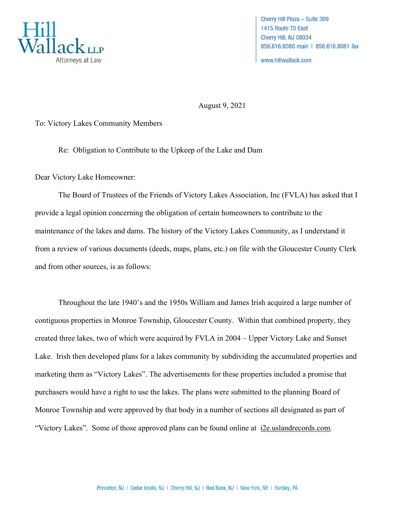

Cherry Hill Plaza - Suite 309 1415 Route 70 East Cherry Hill, NJ 08034 856.616.8080 main | 856.616.8081 fax

www.hillwallack.com

August 9, 2021

To: Victory Lakes Community Members

Re: Obligation to Contribute to the Upkeep of the Lake and Dam

Dear Victory Lake Homeowner:

The Board of Trustees of the Friends of Victory Lakes Association, Inc (FVLA) has asked that I provide a legal opinion concerning the obligation of certain homeowners to contribute to the maintenance of the lakes and dams. The history of the Victory Lakes Community, as I understand it from a review of various documents (deeds, maps, plans, etc.) on file with the Gloucester County Clerk and from other sources, is as follows:

Throughout the late 1940's and the 1950s William and James Irish acquired a large number of contiguous properties in Monroe Township, Gloucester County. Within that combined property, they created three lakes, two of which were acquired by FVLA in 2004 – Upper Victory Lake and Sunset Lake. Irish then developed plans for a lakes community by subdividing the accumulated properties and marketing them as "Victory Lakes". The advertisements for these properties included a promise that purchasers would have a right to use the lakes. The plans were submitted to the planning Board of Monroe Township and were approved by that body in a number of sections all designated as part of "Victory Lakes". Some of those approved plans can be found online at i2e.uslandrecords.com.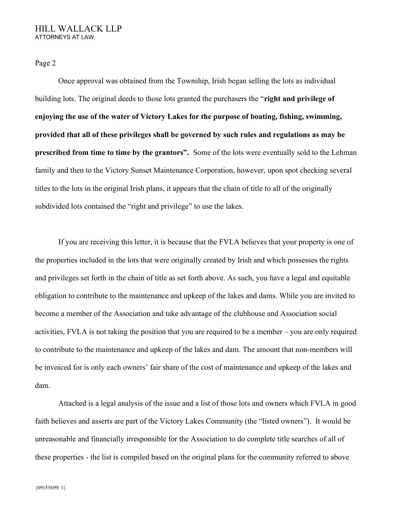## HILL WALLACK LLP ATTORNEYS AT LAW

Page 2

Once approval was obtained from the Township, Irish began selling the lots as individual building lots. The original deeds to those lots granted the purchasers the "right and privilege of enjoying the use of the water of Victory Lakes for the purpose of boating, fishing, swimming, provided that all of these privileges shall be governed by such rules and regulations as may be prescribed from time to time by the grantors". Some of the lots were eventually sold to the Lehman family and then to the Victory Sunset Maintenance Corporation, however, upon spot checking several titles to the lots in the original Irish plans, it appears that the chain of title to all of the originally subdivided lots contained the "right and privilege" to use the lakes.

If you are receiving this letter, it is because that the FVLA believes that your property is one of the properties included in the lots that were originally created by Irish and which possesses the rights and privileges set forth in the chain of title as set forth above. As such, you have a legal and equitable obligation to contribute to the maintenance and upkeep of the lakes and dams. While you are invited to become a member of the Association and take advantage of the clubhouse and Association social activities, FVLA is not taking the position that you are required to be a member – you are only required to contribute to the maintenance and upkeep of the lakes and dam. The amount that non-members will be invoiced for is only each owners' fair share of the cost of maintenance and upkeep of the lakes and dam.

Attached is a legal analysis of the issue and a list of those lots and owners which FVLA in good faith believes and asserts are part of the Victory Lakes Community (the "listed owners"). It would be unreasonable and financially irresponsible for the Association to do complete title searches of all of these properties - the list is compiled based on the original plans for the community referred to above